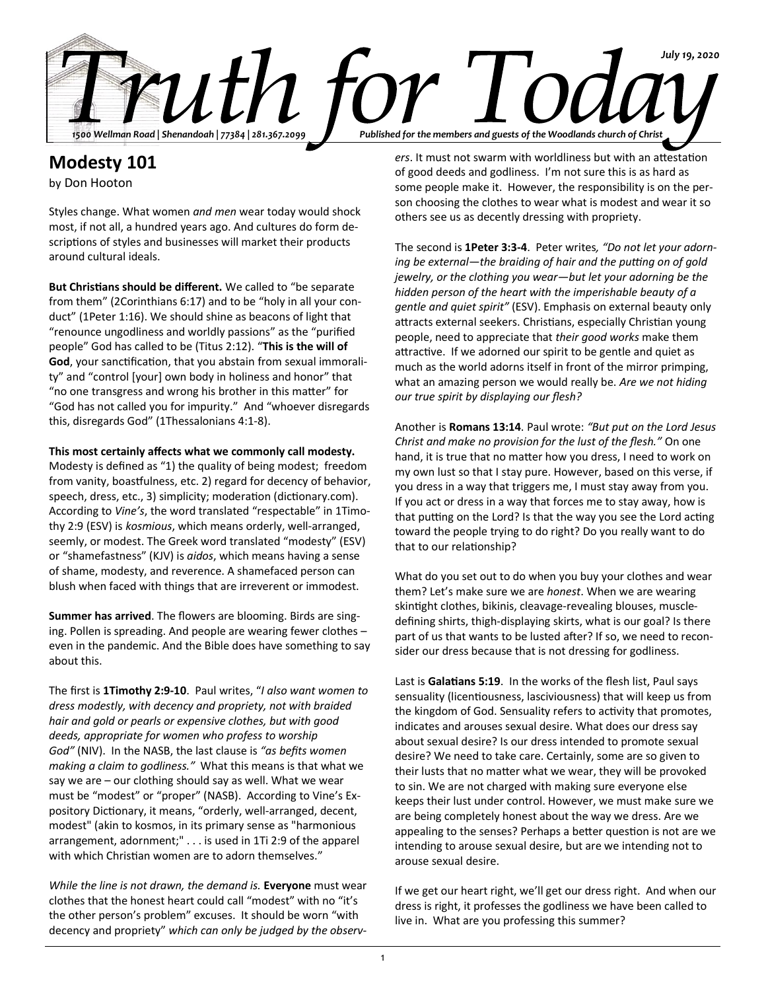

# **Modesty 101**

by Don Hooton

Styles change. What women *and men* wear today would shock most, if not all, a hundred years ago. And cultures do form descriptions of styles and businesses will market their products around cultural ideals.

**But Christians should be different.** We called to "be separate from them" (2Corinthians 6:17) and to be "holy in all your conduct" (1Peter 1:16). We should shine as beacons of light that "renounce ungodliness and worldly passions" as the "purified people" God has called to be (Titus 2:12). "**This is the will of God**, your sanctification, that you abstain from sexual immorality" and "control [your] own body in holiness and honor" that "no one transgress and wrong his brother in this matter" for "God has not called you for impurity." And "whoever disregards this, disregards God" (1Thessalonians 4:1-8).

**This most certainly affects what we commonly call modesty.**

Modesty is defined as "1) the quality of being modest; freedom from vanity, boastfulness, etc. 2) regard for decency of behavior, speech, dress, etc., 3) simplicity; moderation (dictionary.com). According to *Vine's*, the word translated "respectable" in 1Timothy 2:9 (ESV) is *kosmious*, which means orderly, well-arranged, seemly, or modest. The Greek word translated "modesty" (ESV) or "shamefastness" (KJV) is *aidos*, which means having a sense of shame, modesty, and reverence. A shamefaced person can blush when faced with things that are irreverent or immodest.

**Summer has arrived**. The flowers are blooming. Birds are singing. Pollen is spreading. And people are wearing fewer clothes – even in the pandemic. And the Bible does have something to say about this.

The first is **1Timothy 2:9-10**. Paul writes, "*I also want women to dress modestly, with decency and propriety, not with braided hair and gold or pearls or expensive clothes, but with good deeds, appropriate for women who profess to worship God"* (NIV). In the NASB, the last clause is *"as befits women making a claim to godliness."* What this means is that what we say we are – our clothing should say as well. What we wear must be "modest" or "proper" (NASB). According to Vine's Expository Dictionary, it means, "orderly, well-arranged, decent, modest" (akin to kosmos, in its primary sense as "harmonious arrangement, adornment;" . . . is used in 1Ti 2:9 of the apparel with which Christian women are to adorn themselves."

*While the line is not drawn, the demand is.* **Everyone** must wear clothes that the honest heart could call "modest" with no "it's the other person's problem" excuses. It should be worn "with decency and propriety" *which can only be judged by the observ-*

*ers*. It must not swarm with worldliness but with an attestation of good deeds and godliness. I'm not sure this is as hard as some people make it. However, the responsibility is on the person choosing the clothes to wear what is modest and wear it so others see us as decently dressing with propriety.

The second is **1Peter 3:3-4**. Peter writes*, "Do not let your adorning be external—the braiding of hair and the putting on of gold jewelry, or the clothing you wear—but let your adorning be the hidden person of the heart with the imperishable beauty of a gentle and quiet spirit"* (ESV). Emphasis on external beauty only attracts external seekers. Christians, especially Christian young people, need to appreciate that *their good works* make them attractive. If we adorned our spirit to be gentle and quiet as much as the world adorns itself in front of the mirror primping, what an amazing person we would really be. *Are we not hiding our true spirit by displaying our flesh?* 

Another is **Romans 13:14**. Paul wrote: *"But put on the Lord Jesus Christ and make no provision for the lust of the flesh."* On one hand, it is true that no matter how you dress, I need to work on my own lust so that I stay pure. However, based on this verse, if you dress in a way that triggers me, I must stay away from you. If you act or dress in a way that forces me to stay away, how is that putting on the Lord? Is that the way you see the Lord acting toward the people trying to do right? Do you really want to do that to our relationship?

What do you set out to do when you buy your clothes and wear them? Let's make sure we are *honest*. When we are wearing skintight clothes, bikinis, cleavage-revealing blouses, muscledefining shirts, thigh-displaying skirts, what is our goal? Is there part of us that wants to be lusted after? If so, we need to reconsider our dress because that is not dressing for godliness.

Last is **Galatians 5:19**. In the works of the flesh list, Paul says sensuality (licentiousness, lasciviousness) that will keep us from the kingdom of God. Sensuality refers to activity that promotes, indicates and arouses sexual desire. What does our dress say about sexual desire? Is our dress intended to promote sexual desire? We need to take care. Certainly, some are so given to their lusts that no matter what we wear, they will be provoked to sin. We are not charged with making sure everyone else keeps their lust under control. However, we must make sure we are being completely honest about the way we dress. Are we appealing to the senses? Perhaps a better question is not are we intending to arouse sexual desire, but are we intending not to arouse sexual desire.

If we get our heart right, we'll get our dress right. And when our dress is right, it professes the godliness we have been called to live in. What are you professing this summer?